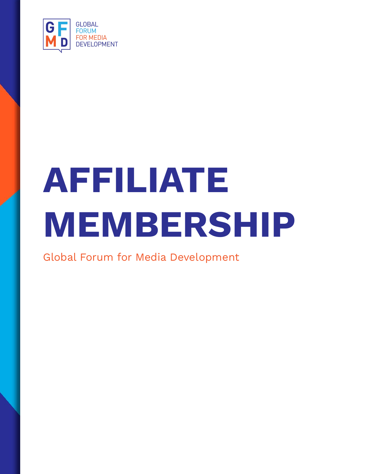

# **AFFILIATE MEMBERSHIP**

Global Forum for Media Development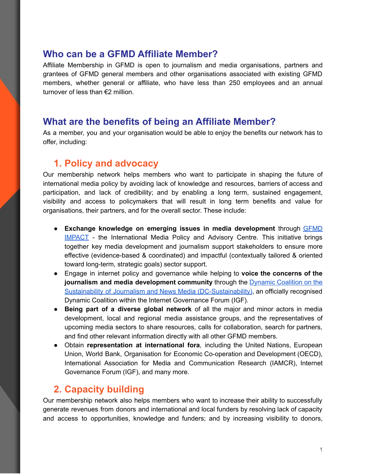#### **Who can be a GFMD Affiliate Member?**

Affiliate Membership in GFMD is open to journalism and media organisations, partners and grantees of GFMD general members and other organisations associated with existing GFMD members, whether general or affiliate, who have less than 250 employees and an annual turnover of less than €2 million.

## **What are the benefits of being an Affiliate Member?**

As a member, you and your organisation would be able to enjoy the benefits our network has to offer, including:

## **1. Policy and advocacy**

Our membership network helps members who want to participate in shaping the future of international media policy by avoiding lack of knowledge and resources, barriers of access and participation, and lack of credibility; and by enabling a long term, sustained engagement, visibility and access to policymakers that will result in long term benefits and value for organisations, their partners, and for the overall sector. These include:

- **Exchange knowledge on emerging issues in media development** through [GFMD](https://impact.gfmd.info/) [IMPACT](https://impact.gfmd.info/) - the International Media Policy and Advisory Centre. This initiative brings together key media development and journalism support stakeholders to ensure more effective (evidence-based & coordinated) and impactful (contextually tailored & oriented toward long-term, strategic goals) sector support.
- Engage in internet policy and governance while helping to **voice the concerns of the journalism and media development community** through the Dynamic [Coalition](https://groups.io/g/dc-sustainability) on the Sustainability of Journalism and News Media [\(DC-Sustainability\)](https://groups.io/g/dc-sustainability), an officially recognised Dynamic Coalition within the Internet Governance Forum (IGF).
- **Being part of a diverse global network** of all the major and minor actors in media development, local and regional media assistance groups, and the representatives of upcoming media sectors to share resources, calls for collaboration, search for partners, and find other relevant information directly with all other GFMD members.
- Obtain **representation at international fora**, including the United Nations, European Union, World Bank, Organisation for Economic Co-operation and Development (OECD), International Association for Media and Communication Research (IAMCR), Internet Governance Forum (IGF), and many more.

## **2. Capacity building**

Our membership network also helps members who want to increase their ability to successfully generate revenues from donors and international and local funders by resolving lack of capacity and access to opportunities, knowledge and funders; and by increasing visibility to donors,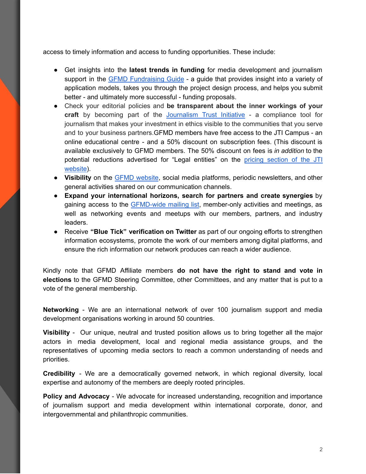access to timely information and access to funding opportunities. These include:

- Get insights into the **latest trends in funding** for media development and journalism support in the GFMD [Fundraising](https://fundraising-guide.gfmd.info/) Guide - a guide that provides insight into a variety of application models, takes you through the project design process, and helps you submit better - and ultimately more successful - funding proposals.
- Check your editorial policies and **be transparent about the inner workings of your craft** by becoming part of the [Journalism](https://www.journalismtrustinitiative.org/about) Trust Initiative - a compliance tool for journalism that makes your investment in ethics visible to the communities that you serve and to your business partners.GFMD members have free access to the JTI Campus - an online educational centre - and a 50% discount on subscription fees. (This discount is available exclusively to GFMD members. The 50% discount on fees is *in addition* to the potential reductions advertised for "Legal entities" on the pricing [section](https://www.journalismtrustinitiative.org/pricing) of the JTI [website](https://www.journalismtrustinitiative.org/pricing)).
- **Visibility** on the GFMD [website](https://gfmd.info/), social media platforms, periodic newsletters, and other general activities shared on our communication channels.
- **Expand your international horizons, search for partners and create synergies** by gaining access to the [GFMD-wide](https://groups.io/g/gfmd-members) mailing list, member-only activities and meetings, as well as networking events and meetups with our members, partners, and industry leaders.
- Receive **"Blue Tick" verification on Twitter** as part of our ongoing efforts to strengthen information ecosystems, promote the work of our members among digital platforms, and ensure the rich information our network produces can reach a wider audience.

Kindly note that GFMD Affiliate members **do not have the right to stand and vote in elections** to the GFMD Steering Committee, other Committees, and any matter that is put to a vote of the general membership.

**Networking** - We are an international network of over 100 journalism support and media development organisations working in around 50 countries.

**Visibility** - Our unique, neutral and trusted position allows us to bring together all the major actors in media development, local and regional media assistance groups, and the representatives of upcoming media sectors to reach a common understanding of needs and priorities.

**Credibility** - We are a democratically governed network, in which regional diversity, local expertise and autonomy of the members are deeply rooted principles.

**Policy and Advocacy** - We advocate for increased understanding, recognition and importance of journalism support and media development within international corporate, donor, and intergovernmental and philanthropic communities.